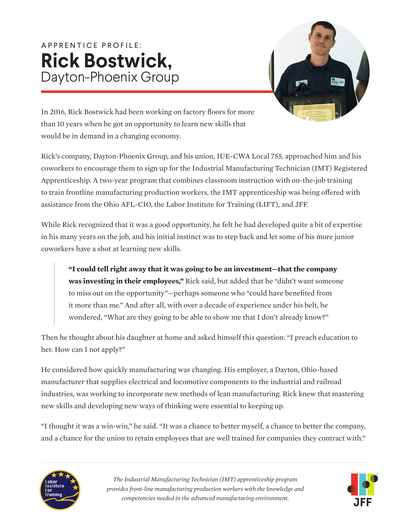## A P P R E N T I C E P R O F I L E : **Rick Bostwick,**  Dayton-Phoenix Group



In 2016, Rick Bostwick had been working on factory floors for more than 10 years when he got an opportunity to learn new skills that would be in demand in a changing economy.

Rick's company, Dayton-Phoenix Group, and his union, IUE-CWA Local 755, approached him and his coworkers to encourage them to sign up for the Industrial Manufacturing Technician (IMT) Registered Apprenticeship. A two-year program that combines classroom instruction with on-the-job training to train frontline manufacturing production workers, the IMT apprenticeship was being offered with assistance from the Ohio AFL-CIO, the Labor Institute for Training (LIFT), and JFF.

While Rick recognized that it was a good opportunity, he felt he had developed quite a bit of expertise in his many years on the job, and his initial instinct was to step back and let some of his more junior coworkers have a shot at learning new skills.

**"I could tell right away that it was going to be an investment—that the company was investing in their employees,"** Rick said, but added that he "didn't want someone to miss out on the opportunity"—perhaps someone who "could have benefited from it more than me." And after all, with over a decade of experience under his belt, he wondered, "What are they going to be able to show me that I don't already know?"

Then he thought about his daughter at home and asked himself this question: "I preach education to her. How can I not apply?"

He considered how quickly manufacturing was changing. His employer, a Dayton, Ohio-based manufacturer that supplies electrical and locomotive components to the industrial and railroad industries, was working to incorporate new methods of lean manufacturing. Rick knew that mastering new skills and developing new ways of thinking were essential to keeping up.

"I thought it was a win-win," he said. "It was a chance to better myself, a chance to better the company, and a chance for the union to retain employees that are well trained for companies they contract with."



*The Industrial Manufacturing Technician (IMT) apprenticeship program provides front-line manufacturing production workers with the knowledge and competencies needed in the advanced manufacturing environment.*